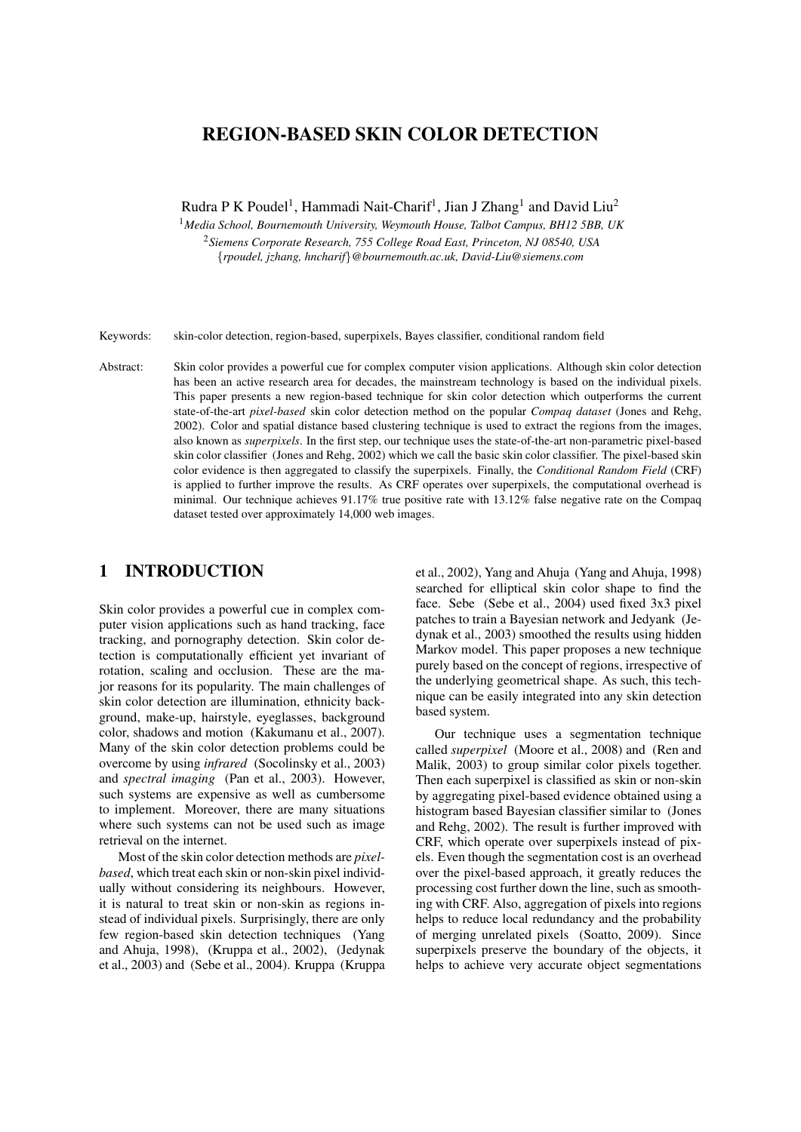# REGION-BASED SKIN COLOR DETECTION

Rudra P K Poudel<sup>1</sup>, Hammadi Nait-Charif<sup>1</sup>, Jian J Zhang<sup>1</sup> and David Liu<sup>2</sup>

<sup>1</sup>*Media School, Bournemouth University, Weymouth House, Talbot Campus, BH12 5BB, UK* <sup>2</sup>*Siemens Corporate Research, 755 College Road East, Princeton, NJ 08540, USA* {*rpoudel, jzhang, hncharif*}*@bournemouth.ac.uk, David-Liu@siemens.com*

Keywords: skin-color detection, region-based, superpixels, Bayes classifier, conditional random field

Abstract: Skin color provides a powerful cue for complex computer vision applications. Although skin color detection has been an active research area for decades, the mainstream technology is based on the individual pixels. This paper presents a new region-based technique for skin color detection which outperforms the current state-of-the-art *pixel-based* skin color detection method on the popular *Compaq dataset* (Jones and Rehg, 2002). Color and spatial distance based clustering technique is used to extract the regions from the images, also known as *superpixels*. In the first step, our technique uses the state-of-the-art non-parametric pixel-based skin color classifier (Jones and Rehg, 2002) which we call the basic skin color classifier. The pixel-based skin color evidence is then aggregated to classify the superpixels. Finally, the *Conditional Random Field* (CRF) is applied to further improve the results. As CRF operates over superpixels, the computational overhead is minimal. Our technique achieves 91.17% true positive rate with 13.12% false negative rate on the Compaq dataset tested over approximately 14,000 web images.

# 1 INTRODUCTION

Skin color provides a powerful cue in complex computer vision applications such as hand tracking, face tracking, and pornography detection. Skin color detection is computationally efficient yet invariant of rotation, scaling and occlusion. These are the major reasons for its popularity. The main challenges of skin color detection are illumination, ethnicity background, make-up, hairstyle, eyeglasses, background color, shadows and motion (Kakumanu et al., 2007). Many of the skin color detection problems could be overcome by using *infrared* (Socolinsky et al., 2003) and *spectral imaging* (Pan et al., 2003). However, such systems are expensive as well as cumbersome to implement. Moreover, there are many situations where such systems can not be used such as image retrieval on the internet.

Most of the skin color detection methods are *pixelbased*, which treat each skin or non-skin pixel individually without considering its neighbours. However, it is natural to treat skin or non-skin as regions instead of individual pixels. Surprisingly, there are only few region-based skin detection techniques (Yang and Ahuja, 1998), (Kruppa et al., 2002), (Jedynak et al., 2003) and (Sebe et al., 2004). Kruppa (Kruppa et al., 2002), Yang and Ahuja (Yang and Ahuja, 1998) searched for elliptical skin color shape to find the face. Sebe (Sebe et al., 2004) used fixed 3x3 pixel patches to train a Bayesian network and Jedyank (Jedynak et al., 2003) smoothed the results using hidden Markov model. This paper proposes a new technique purely based on the concept of regions, irrespective of the underlying geometrical shape. As such, this technique can be easily integrated into any skin detection based system.

Our technique uses a segmentation technique called *superpixel* (Moore et al., 2008) and (Ren and Malik, 2003) to group similar color pixels together. Then each superpixel is classified as skin or non-skin by aggregating pixel-based evidence obtained using a histogram based Bayesian classifier similar to (Jones and Rehg, 2002). The result is further improved with CRF, which operate over superpixels instead of pixels. Even though the segmentation cost is an overhead over the pixel-based approach, it greatly reduces the processing cost further down the line, such as smoothing with CRF. Also, aggregation of pixels into regions helps to reduce local redundancy and the probability of merging unrelated pixels (Soatto, 2009). Since superpixels preserve the boundary of the objects, it helps to achieve very accurate object segmentations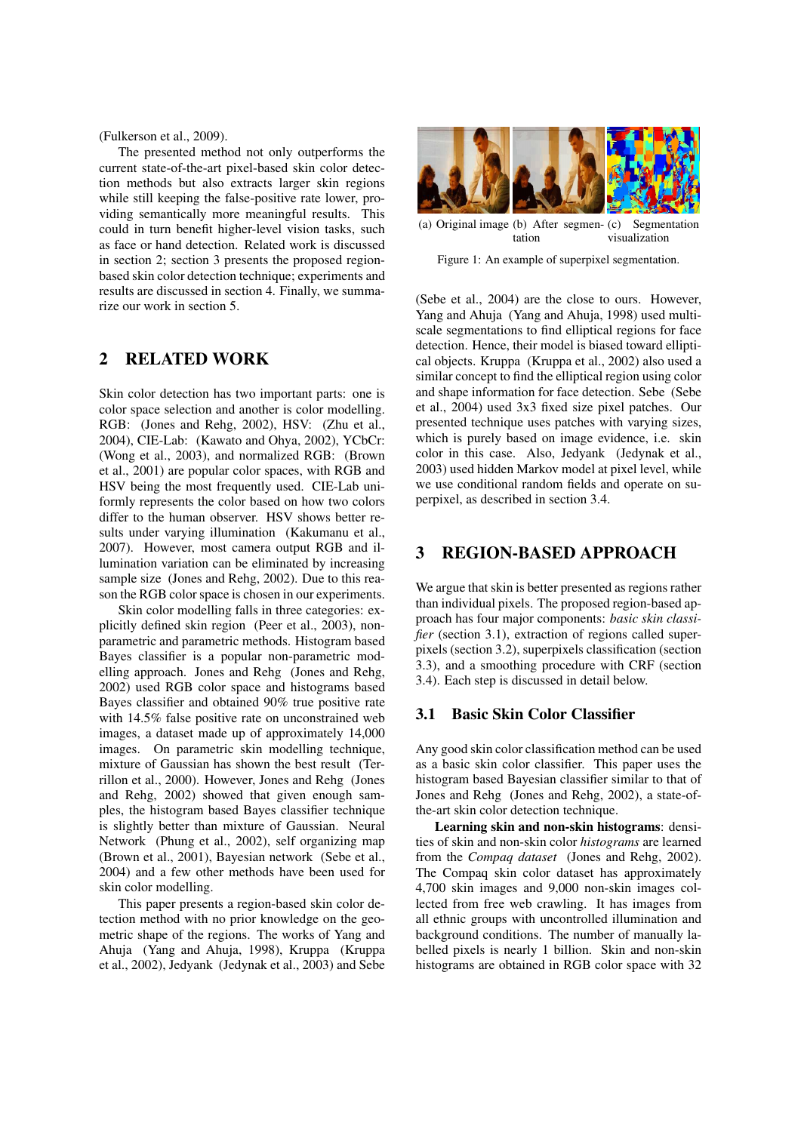(Fulkerson et al., 2009).

The presented method not only outperforms the current state-of-the-art pixel-based skin color detection methods but also extracts larger skin regions while still keeping the false-positive rate lower, providing semantically more meaningful results. This could in turn benefit higher-level vision tasks, such as face or hand detection. Related work is discussed in section 2; section 3 presents the proposed regionbased skin color detection technique; experiments and results are discussed in section 4. Finally, we summarize our work in section 5.

## 2 RELATED WORK

Skin color detection has two important parts: one is color space selection and another is color modelling. RGB: (Jones and Rehg, 2002), HSV: (Zhu et al., 2004), CIE-Lab: (Kawato and Ohya, 2002), YCbCr: (Wong et al., 2003), and normalized RGB: (Brown et al., 2001) are popular color spaces, with RGB and HSV being the most frequently used. CIE-Lab uniformly represents the color based on how two colors differ to the human observer. HSV shows better results under varying illumination (Kakumanu et al., 2007). However, most camera output RGB and illumination variation can be eliminated by increasing sample size (Jones and Rehg, 2002). Due to this reason the RGB color space is chosen in our experiments.

Skin color modelling falls in three categories: explicitly defined skin region (Peer et al., 2003), nonparametric and parametric methods. Histogram based Bayes classifier is a popular non-parametric modelling approach. Jones and Rehg (Jones and Rehg, 2002) used RGB color space and histograms based Bayes classifier and obtained 90% true positive rate with 14.5% false positive rate on unconstrained web images, a dataset made up of approximately 14,000 images. On parametric skin modelling technique, mixture of Gaussian has shown the best result (Terrillon et al., 2000). However, Jones and Rehg (Jones and Rehg, 2002) showed that given enough samples, the histogram based Bayes classifier technique is slightly better than mixture of Gaussian. Neural Network (Phung et al., 2002), self organizing map (Brown et al., 2001), Bayesian network (Sebe et al., 2004) and a few other methods have been used for skin color modelling.

This paper presents a region-based skin color detection method with no prior knowledge on the geometric shape of the regions. The works of Yang and Ahuja (Yang and Ahuja, 1998), Kruppa (Kruppa et al., 2002), Jedyank (Jedynak et al., 2003) and Sebe



(a) Original image (b) After segmen-(c) Segmentation tation visualization

Figure 1: An example of superpixel segmentation.

(Sebe et al., 2004) are the close to ours. However, Yang and Ahuja (Yang and Ahuja, 1998) used multiscale segmentations to find elliptical regions for face detection. Hence, their model is biased toward elliptical objects. Kruppa (Kruppa et al., 2002) also used a similar concept to find the elliptical region using color and shape information for face detection. Sebe (Sebe et al., 2004) used 3x3 fixed size pixel patches. Our presented technique uses patches with varying sizes, which is purely based on image evidence, i.e. skin color in this case. Also, Jedyank (Jedynak et al., 2003) used hidden Markov model at pixel level, while we use conditional random fields and operate on superpixel, as described in section 3.4.

# 3 REGION-BASED APPROACH

We argue that skin is better presented as regions rather than individual pixels. The proposed region-based approach has four major components: *basic skin classifier* (section 3.1), extraction of regions called superpixels (section 3.2), superpixels classification (section 3.3), and a smoothing procedure with CRF (section 3.4). Each step is discussed in detail below.

## 3.1 Basic Skin Color Classifier

Any good skin color classification method can be used as a basic skin color classifier. This paper uses the histogram based Bayesian classifier similar to that of Jones and Rehg (Jones and Rehg, 2002), a state-ofthe-art skin color detection technique.

Learning skin and non-skin histograms: densities of skin and non-skin color *histograms* are learned from the *Compaq dataset* (Jones and Rehg, 2002). The Compaq skin color dataset has approximately 4,700 skin images and 9,000 non-skin images collected from free web crawling. It has images from all ethnic groups with uncontrolled illumination and background conditions. The number of manually labelled pixels is nearly 1 billion. Skin and non-skin histograms are obtained in RGB color space with 32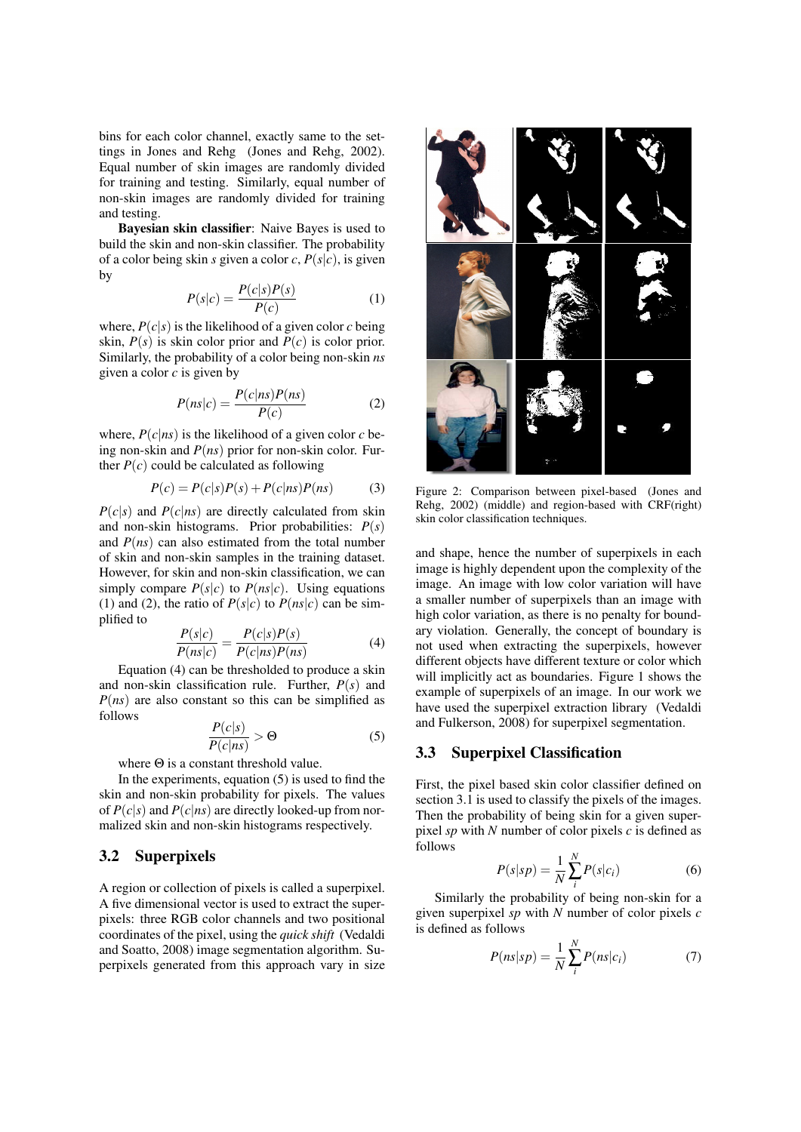bins for each color channel, exactly same to the settings in Jones and Rehg (Jones and Rehg, 2002). Equal number of skin images are randomly divided for training and testing. Similarly, equal number of non-skin images are randomly divided for training and testing.

Bayesian skin classifier: Naive Bayes is used to build the skin and non-skin classifier. The probability of a color being skin *s* given a color *c*,  $P(s|c)$ , is given by

$$
P(s|c) = \frac{P(c|s)P(s)}{P(c)}\tag{1}
$$

where,  $P(c|s)$  is the likelihood of a given color *c* being skin,  $P(s)$  is skin color prior and  $P(c)$  is color prior. Similarly, the probability of a color being non-skin *ns* given a color *c* is given by

$$
P(ns|c) = \frac{P(c|ns)P(ns)}{P(c)}\tag{2}
$$

where,  $P(c|ns)$  is the likelihood of a given color *c* being non-skin and *P*(*ns*) prior for non-skin color. Further  $P(c)$  could be calculated as following

$$
P(c) = P(c|s)P(s) + P(c|ns)P(ns)
$$
 (3)

 $P(c|s)$  and  $P(c|ns)$  are directly calculated from skin and non-skin histograms. Prior probabilities: *P*(*s*) and  $P(ns)$  can also estimated from the total number of skin and non-skin samples in the training dataset. However, for skin and non-skin classification, we can simply compare  $P(s|c)$  to  $P(ns|c)$ . Using equations (1) and (2), the ratio of  $P(s|c)$  to  $P(ns|c)$  can be simplified to

$$
\frac{P(s|c)}{P(ns|c)} = \frac{P(c|s)P(s)}{P(c|ns)P(ns)}
$$
(4)

Equation (4) can be thresholded to produce a skin and non-skin classification rule. Further, *P*(*s*) and *P*(*ns*) are also constant so this can be simplified as follows

$$
\frac{P(c|s)}{P(c|ns)} > \Theta
$$
 (5)

where Θ is a constant threshold value.

In the experiments, equation  $(5)$  is used to find the skin and non-skin probability for pixels. The values of  $P(c|s)$  and  $P(c|ns)$  are directly looked-up from normalized skin and non-skin histograms respectively.

## 3.2 Superpixels

A region or collection of pixels is called a superpixel. A five dimensional vector is used to extract the superpixels: three RGB color channels and two positional coordinates of the pixel, using the *quick shift* (Vedaldi and Soatto, 2008) image segmentation algorithm. Superpixels generated from this approach vary in size



Figure 2: Comparison between pixel-based (Jones and Rehg, 2002) (middle) and region-based with CRF(right) skin color classification techniques.

and shape, hence the number of superpixels in each image is highly dependent upon the complexity of the image. An image with low color variation will have a smaller number of superpixels than an image with high color variation, as there is no penalty for boundary violation. Generally, the concept of boundary is not used when extracting the superpixels, however different objects have different texture or color which will implicitly act as boundaries. Figure 1 shows the example of superpixels of an image. In our work we have used the superpixel extraction library (Vedaldi and Fulkerson, 2008) for superpixel segmentation.

#### 3.3 Superpixel Classification

First, the pixel based skin color classifier defined on section 3.1 is used to classify the pixels of the images. Then the probability of being skin for a given superpixel *sp* with *N* number of color pixels *c* is defined as follows

$$
P(s|sp) = \frac{1}{N} \sum_{i}^{N} P(s|c_i)
$$
 (6)

Similarly the probability of being non-skin for a given superpixel *sp* with *N* number of color pixels *c* is defined as follows

$$
P(ns|sp) = \frac{1}{N} \sum_{i}^{N} P(ns|c_i)
$$
 (7)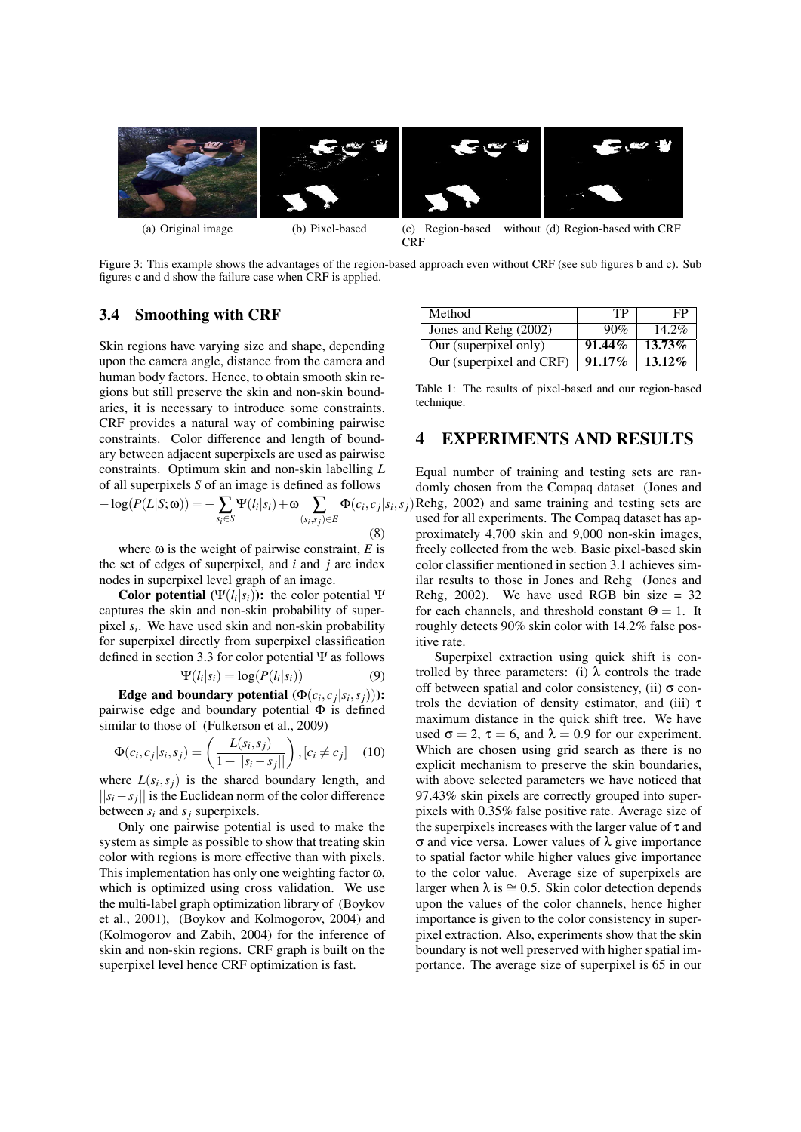

Figure 3: This example shows the advantages of the region-based approach even without CRF (see sub figures b and c). Sub figures c and d show the failure case when CRF is applied.

### 3.4 Smoothing with CRF

Skin regions have varying size and shape, depending upon the camera angle, distance from the camera and human body factors. Hence, to obtain smooth skin regions but still preserve the skin and non-skin boundaries, it is necessary to introduce some constraints. CRF provides a natural way of combining pairwise constraints. Color difference and length of boundary between adjacent superpixels are used as pairwise constraints. Optimum skin and non-skin labelling *L* of all superpixels *S* of an image is defined as follows

$$
-\log(P(L|S;\omega)) = -\sum_{s_i \in S} \Psi(l_i|s_i) + \omega \sum_{(s_i,s_j) \in E} \Phi(c_i,c_j|s_i,\omega)
$$
\n(8)

where  $\omega$  is the weight of pairwise constraint, *E* is the set of edges of superpixel, and *i* and *j* are index nodes in superpixel level graph of an image.

Color potential  $(Ψ(l_i|s_i))$ : the color potential Ψ captures the skin and non-skin probability of superpixel *s<sup>i</sup>* . We have used skin and non-skin probability for superpixel directly from superpixel classification defined in section 3.3 for color potential Ψ as follows

$$
\Psi(l_i|s_i) = \log(P(l_i|s_i))\tag{9}
$$

Edge and boundary potential  $(\Phi(c_i, c_j | s_i, s_j))$ ): pairwise edge and boundary potential  $\Phi$  is defined similar to those of (Fulkerson et al., 2009)

$$
\Phi(c_i, c_j | s_i, s_j) = \left(\frac{L(s_i, s_j)}{1 + ||s_i - s_j||}\right), [c_i \neq c_j] \quad (10)
$$

where  $L(s_i, s_j)$  is the shared boundary length, and ||*si*−*s<sup>j</sup>* || is the Euclidean norm of the color difference between  $s_i$  and  $s_j$  superpixels.

Only one pairwise potential is used to make the system as simple as possible to show that treating skin color with regions is more effective than with pixels. This implementation has only one weighting factor ω, which is optimized using cross validation. We use the multi-label graph optimization library of (Boykov et al., 2001), (Boykov and Kolmogorov, 2004) and (Kolmogorov and Zabih, 2004) for the inference of skin and non-skin regions. CRF graph is built on the superpixel level hence CRF optimization is fast.

| Method                   | TP        | FP        |
|--------------------------|-----------|-----------|
| Jones and Rehg (2002)    | 90%       | $14.2\%$  |
| Our (superpixel only)    | $91.44\%$ | $13.73\%$ |
| Our (superpixel and CRF) | $91.17\%$ | $13.12\%$ |

Table 1: The results of pixel-based and our region-based technique.

# 4 EXPERIMENTS AND RESULTS

,*sj*) Rehg, 2002) and same training and testing sets are Equal number of training and testing sets are randomly chosen from the Compaq dataset (Jones and used for all experiments. The Compaq dataset has approximately 4,700 skin and 9,000 non-skin images, freely collected from the web. Basic pixel-based skin color classifier mentioned in section 3.1 achieves similar results to those in Jones and Rehg (Jones and Rehg, 2002). We have used RGB bin size  $= 32$ for each channels, and threshold constant  $\Theta = 1$ . It roughly detects 90% skin color with 14.2% false positive rate.

Superpixel extraction using quick shift is controlled by three parameters: (i)  $\lambda$  controls the trade off between spatial and color consistency, (ii)  $\sigma$  controls the deviation of density estimator, and (iii)  $\tau$ maximum distance in the quick shift tree. We have used  $\sigma = 2$ ,  $\tau = 6$ , and  $\lambda = 0.9$  for our experiment. Which are chosen using grid search as there is no explicit mechanism to preserve the skin boundaries, with above selected parameters we have noticed that 97.43% skin pixels are correctly grouped into superpixels with 0.35% false positive rate. Average size of the superpixels increases with the larger value of  $\tau$  and σ and vice versa. Lower values of λ give importance to spatial factor while higher values give importance to the color value. Average size of superpixels are larger when  $\lambda$  is  $\approx$  0.5. Skin color detection depends upon the values of the color channels, hence higher importance is given to the color consistency in superpixel extraction. Also, experiments show that the skin boundary is not well preserved with higher spatial importance. The average size of superpixel is 65 in our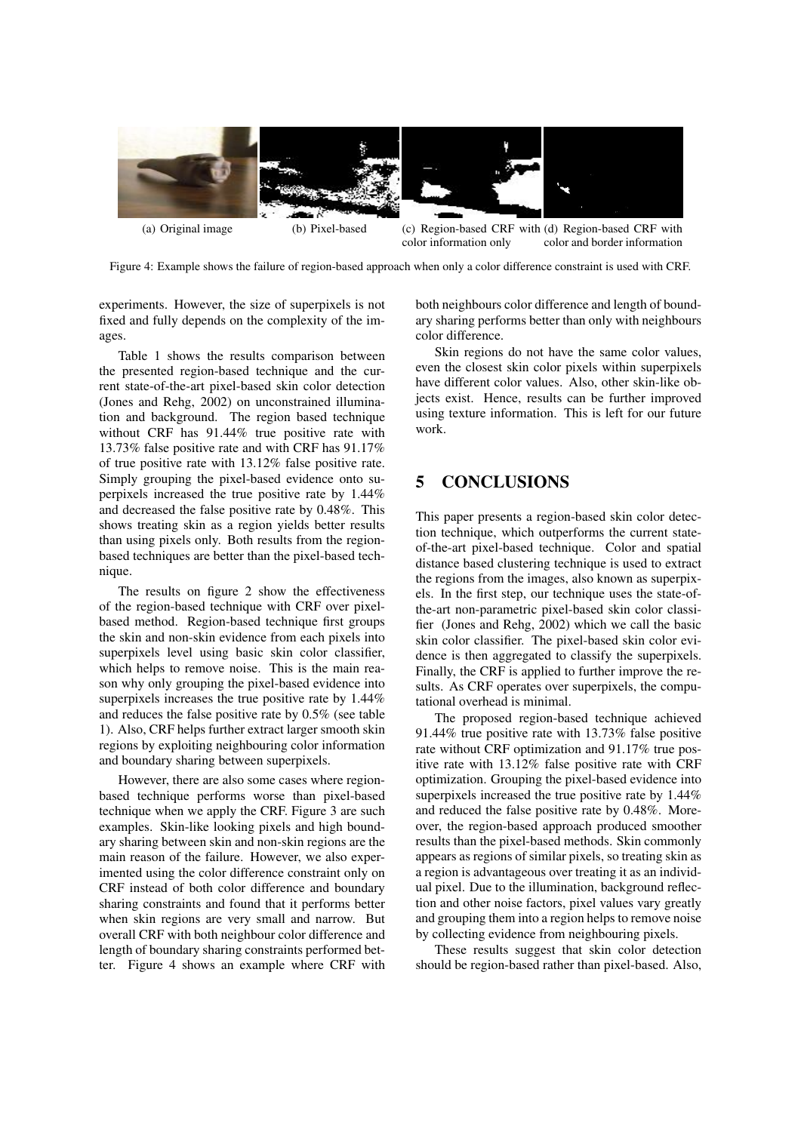

Figure 4: Example shows the failure of region-based approach when only a color difference constraint is used with CRF.

experiments. However, the size of superpixels is not fixed and fully depends on the complexity of the images.

Table 1 shows the results comparison between the presented region-based technique and the current state-of-the-art pixel-based skin color detection (Jones and Rehg, 2002) on unconstrained illumination and background. The region based technique without CRF has 91.44% true positive rate with 13.73% false positive rate and with CRF has 91.17% of true positive rate with 13.12% false positive rate. Simply grouping the pixel-based evidence onto superpixels increased the true positive rate by 1.44% and decreased the false positive rate by 0.48%. This shows treating skin as a region yields better results than using pixels only. Both results from the regionbased techniques are better than the pixel-based technique.

The results on figure 2 show the effectiveness of the region-based technique with CRF over pixelbased method. Region-based technique first groups the skin and non-skin evidence from each pixels into superpixels level using basic skin color classifier, which helps to remove noise. This is the main reason why only grouping the pixel-based evidence into superpixels increases the true positive rate by 1.44% and reduces the false positive rate by 0.5% (see table 1). Also, CRF helps further extract larger smooth skin regions by exploiting neighbouring color information and boundary sharing between superpixels.

However, there are also some cases where regionbased technique performs worse than pixel-based technique when we apply the CRF. Figure 3 are such examples. Skin-like looking pixels and high boundary sharing between skin and non-skin regions are the main reason of the failure. However, we also experimented using the color difference constraint only on CRF instead of both color difference and boundary sharing constraints and found that it performs better when skin regions are very small and narrow. But overall CRF with both neighbour color difference and length of boundary sharing constraints performed better. Figure 4 shows an example where CRF with

both neighbours color difference and length of boundary sharing performs better than only with neighbours color difference.

Skin regions do not have the same color values, even the closest skin color pixels within superpixels have different color values. Also, other skin-like objects exist. Hence, results can be further improved using texture information. This is left for our future work.

# 5 CONCLUSIONS

This paper presents a region-based skin color detection technique, which outperforms the current stateof-the-art pixel-based technique. Color and spatial distance based clustering technique is used to extract the regions from the images, also known as superpixels. In the first step, our technique uses the state-ofthe-art non-parametric pixel-based skin color classifier (Jones and Rehg, 2002) which we call the basic skin color classifier. The pixel-based skin color evidence is then aggregated to classify the superpixels. Finally, the CRF is applied to further improve the results. As CRF operates over superpixels, the computational overhead is minimal.

The proposed region-based technique achieved 91.44% true positive rate with 13.73% false positive rate without CRF optimization and 91.17% true positive rate with 13.12% false positive rate with CRF optimization. Grouping the pixel-based evidence into superpixels increased the true positive rate by  $1.44\%$ and reduced the false positive rate by 0.48%. Moreover, the region-based approach produced smoother results than the pixel-based methods. Skin commonly appears as regions of similar pixels, so treating skin as a region is advantageous over treating it as an individual pixel. Due to the illumination, background reflection and other noise factors, pixel values vary greatly and grouping them into a region helps to remove noise by collecting evidence from neighbouring pixels.

These results suggest that skin color detection should be region-based rather than pixel-based. Also,